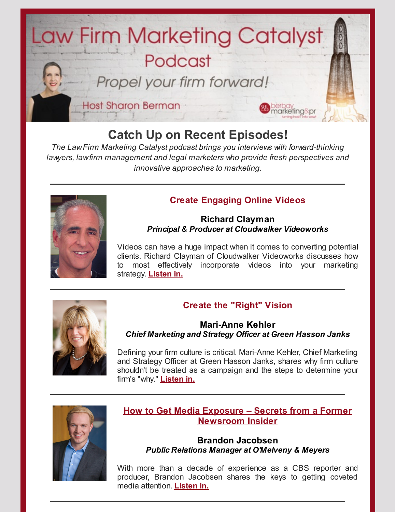

# **Catch Up on Recent Episodes!**

*The LawFirm Marketing Catalyst podcast brings you interviews with forward-thinking lawyers, lawfirm management and legal marketers who provide fresh perspectives and innovative approaches to marketing.*



## **Create [Engaging](http://bit.ly/LFMCPRichardClayman) Online Videos**

#### **Richard Clayman** *Principal & Producer at Cloudwalker Videoworks*

Videos can have a huge impact when it comes to converting potential clients. Richard Clayman of Cloudwalker Videoworks discusses how to most effectively incorporate videos into your marketing strategy. **[Listen](http://bit.ly/LFMCPRichardClayman) in.**



# **Create the ["Right"](http://bit.ly/LFMCPmarianne) Vision**

#### **Mari-Anne Kehler** *Chief Marketing and Strategy Officer at Green Hasson Janks*

Defining your firm culture is critical. Mari-Anne Kehler, Chief Marketing and Strategy Officer at Green Hasson Janks, shares why firm culture shouldn't be treated as a campaign and the steps to determine your firm's "why." **[Listen](http://bit.ly/LFMCPmarianne) in.**



## **How to Get Media Exposure – Secrets from a Former [Newsroom](http://bit.ly/LFMCPbrandon) Insider**

#### **Brandon Jacobsen** *Public Relations Manager at O'Melveny & Meyers*

With more than a decade of experience as a CBS reporter and producer, Brandon Jacobsen shares the keys to getting coveted media attention. **[Listen](http://bit.ly/LFMCPbrandon) in.**